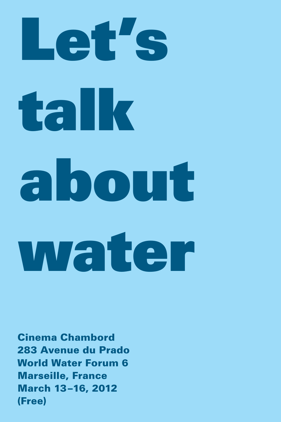# Let's talk about water

Cinema Chambord 283 Avenue du Prado World Water Forum 6 Marseille, France March 13–16, 2012 (Free)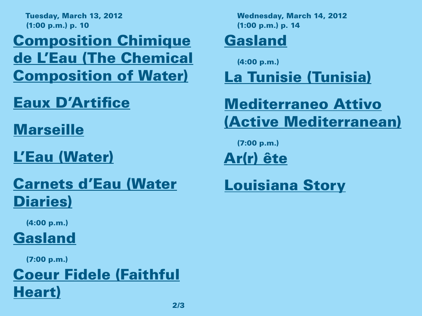Tuesday, March 13, 2012 (1:00 p.m.) p. 10

Composition Chimique de L'Eau (The Chemical Composition of Water)

Eaux D'Artifice

Marseille

L'Eau (Water)

### Carnets d'Eau (Water Diaries)

(4:00 p.m.)

Gasland

(7:00 p.m.)

### Coeur Fidele (Faithful Heart)

Wednesday, March 14, 2012 (1:00 p.m.) p. 14

### Gasland

(4:00 p.m.)

La Tunisie (Tunisia)

### Mediterraneo Attivo (Active Mediterranean)

(7:00 p.m.)

Ar(r) ête

Louisiana Story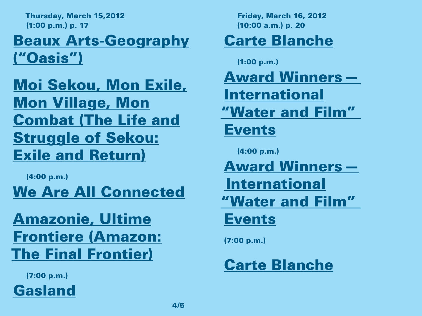Thursday, March 15,2012 (1:00 p.m.) p. 17

### Beaux Arts-Geography ("Oasis")

Moi Sekou, Mon Exile, Mon Village, Mon Combat (The Life and Struggle of Sekou: Exile and Return)

(4:00 p.m.)

We Are All Connected

Amazonie, Ultime Frontiere (Amazon: The Final Frontier)

(7:00 p.m.)

Gasland

Friday, March 16, 2012 (10:00 a.m.) p. 20

### Carte Blanche

(1:00 p.m.)

Award Winners—

International

"Water and Film"

### Events

(4:00 p.m.)

Award Winners— International

"Water and Film"

### Events

(7:00 p.m.)

### Carte Blanche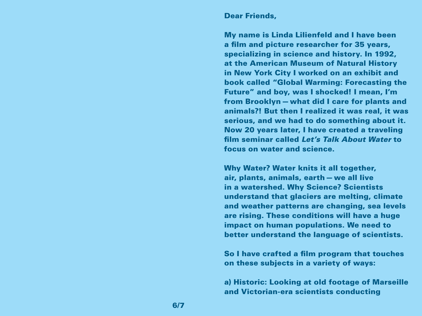#### Dear Friends,

My name is Linda Lilienfeld and I have been a film and picture researcher for 35 years, specializing in science and history. In 1992, at the American Museum of Natural History in New York City I worked on an exhibit and book called "Global Warming: Forecasting the Future" and boy, was I shocked! I mean, I'm from Brooklyn—what did I care for plants and animals?! But then I realized it was real, it was serious, and we had to do something about it. Now 20 years later, I have created a traveling film seminar called *Let's Talk About Water* to focus on water and science.

Why Water? Water knits it all together, air, plants, animals, earth—we all live in a watershed. Why Science? Scientists understand that glaciers are melting, climate and weather patterns are changing, sea levels are rising. These conditions will have a huge impact on human populations. We need to better understand the language of scientists.

So I have crafted a film program that touches on these subjects in a variety of ways:

a) Historic: Looking at old footage of Marseille and Victorian-era scientists conducting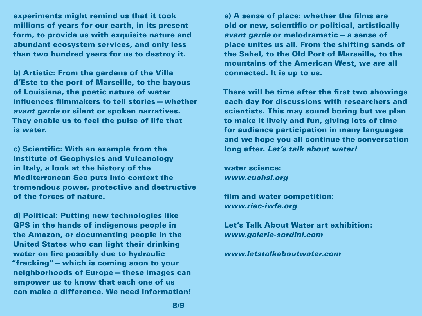experiments might remind us that it took millions of years for our earth, in its present form, to provide us with exquisite nature and abundant ecosystem services, and only less than two hundred years for us to destroy it.

b) Artistic: From the gardens of the Villa d'Este to the port of Marseille, to the bayous of Louisiana, the poetic nature of water influences filmmakers to tell stories—whether *avant garde* or silent or spoken narratives. They enable us to feel the pulse of life that is water.

c) Scientific: With an example from the Institute of Geophysics and Vulcanology in Italy, a look at the history of the Mediterranean Sea puts into context the tremendous power, protective and destructive of the forces of nature.

d) Political: Putting new technologies like GPS in the hands of indigenous people in the Amazon, or documenting people in the United States who can light their drinking water on fire possibly due to hydraulic "fracking"—which is coming soon to your neighborhoods of Europe—these images can empower us to know that each one of us can make a difference. We need information!

e) A sense of place: whether the films are old or new, scientific or political, artistically *avant garde* or melodramatic—a sense of place unites us all. From the shifting sands of the Sahel, to the Old Port of Marseille, to the mountains of the American West, we are all connected. It is up to us.

There will be time after the first two showings each day for discussions with researchers and scientists. This may sound boring but we plan to make it lively and fun, giving lots of time for audience participation in many languages and we hope you all continue the conversation long after. *Let's talk about water!*

water science: *www.cuahsi.org*

film and water competition: *www.riec-iwfe.org*

Let's Talk About Water art exhibition: *www.galerie-sordini.com*

*www.letstalkaboutwater.com*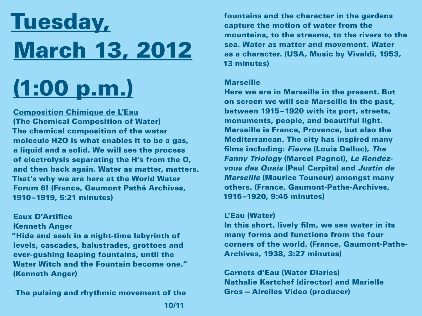# Tuesday, March 13, 2012

# (1:00 p.m.)

Composition Chimique de L'Eau (The Chemical Composition of Water) The chemical composition of the water molecule H2O is what enables it to be a gas, a liquid and a solid. We will see the process of electrolysis separating the H's from the O, and then back again. Water as matter, matters. That's why we are here at the World Water Forum 6! (France, Gaumont Pathé Archives, 1910–1919, 5:21 minutes)

#### Eaux D'Artifice

Kenneth Anger

"Hide and seek in a night-time labyrinth of levels, cascades, balustrades, grottoes and ever-gushing leaping fountains, until the Water Witch and the Fountain become one." (Kenneth Anger)

The pulsing and rhythmic movement of the

fountains and the character in the gardens capture the motion of water from the mountains, to the streams, to the rivers to the sea. Water as matter and movement. Water as a character. (USA, Music by Vivaldi, 1953, 13 minutes)

#### **Marseille**

Here we are in Marseille in the present. But on screen we will see Marseille in the past, between 1915–1920 with its port, streets, monuments, people, and beautiful light. Marseille is France, Provence, but also the Mediterranean. The city has inspired many films including: *Fievre* (Louis Delluc), *The Fanny Triology* (Marcel Pagnol), *Le Rendezvous des Quais* (Paul Carpita) and *Justin de Marseille* (Maurice Touneur) amongst many others. (France, Gaumont-Pathe-Archives, 1915–1920, 9:45 minutes)

#### L'Eau (Water)

In this short, lively film, we see water in its many forms and functions from the four corners of the world. (France, Gaumont-Pathe-Archives, 1938, 3:27 minutes)

Carnets d'Eau (Water Diaries) Nathalie Kertchef (director) and Marielle Gros—Airelles Video (producer)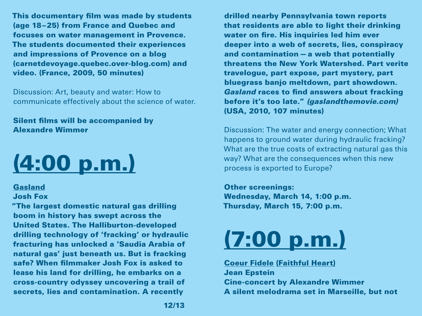This documentary film was made by students (age 18–25) from France and Quebec and focuses on water management in Provence. The students documented their experiences and impressions of Provence on a blog (carnetdevoyage.quebec.over-blog.com) and video. (France, 2009, 50 minutes)

Discussion: Art, beauty and water: How to communicate effectively about the science of water.

Silent films will be accompanied by Alexandre Wimmer

# (4:00 p.m.)

#### Gasland

#### Josh Fox

"The largest domestic natural gas drilling boom in history has swept across the United States. The Halliburton-developed drilling technology of 'fracking' or hydraulic fracturing has unlocked a 'Saudia Arabia of natural gas' just beneath us. But is fracking safe? When filmmaker Josh Fox is asked to lease his land for drilling, he embarks on a cross-country odyssey uncovering a trail of secrets, lies and contamination. A recently

drilled nearby Pennsylvania town reports that residents are able to light their drinking water on fire. His inquiries led him ever deeper into a web of secrets, lies, conspiracy and contamination—a web that potentially threatens the New York Watershed. Part verite travelogue, part expose, part mystery, part bluegrass banjo meltdown, part showdown. *Gasland* races to find answers about fracking before it's too late." *(gaslandthemovie.com)* (USA, 2010, 107 minutes)

Discussion: The water and energy connection; What happens to ground water during hydraulic fracking? What are the true costs of extracting natural gas this way? What are the consequences when this new process is exported to Europe?

Other screenings: Wednesday, March 14, 1:00 p.m. Thursday, March 15, 7:00 p.m.

## (7:00 p.m.)

#### Coeur Fidele (Faithful Heart) Jean Epstein Cine-concert by Alexandre Wimmer A silent melodrama set in Marseille, but not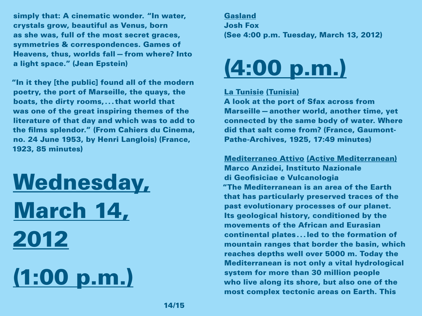simply that: A cinematic wonder. "In water, crystals grow, beautiful as Venus, born as she was, full of the most secret graces, symmetries & correspondences. Games of Heavens, thus, worlds fall—from where? Into a light space." (Jean Epstein)

"In it they [the public] found all of the modern poetry, the port of Marseille, the quays, the boats, the dirty rooms,... that world that was one of the great inspiring themes of the literature of that day and which was to add to the films splendor." (From Cahiers du Cinema, no. 24 June 1953, by Henri Langlois) (France, 1923, 85 minutes)

# Wednesday, March 14, 2012 (1:00 p.m.)

Gasland Josh Fox (See 4:00 p.m. Tuesday, March 13, 2012)



#### La Tunisie (Tunisia)

A look at the port of Sfax across from Marseille—another world, another time, yet connected by the same body of water. Where did that salt come from? (France, Gaumont-Pathe-Archives, 1925, 17:49 minutes)

Mediterraneo Attivo (Active Mediterranean) Marco Anzidei, Instituto Nazionale di Geofisiciae e Vulcanologia "The Mediterranean is an area of the Earth that has particularly preserved traces of the past evolutionary processes of our planet. Its geological history, conditioned by the movements of the African and Eurasian continental plates...led to the formation of mountain ranges that border the basin, which reaches depths well over 5000 m. Today the Mediterranean is not only a vital hydrological system for more than 30 million people who live along its shore, but also one of the most complex tectonic areas on Earth. This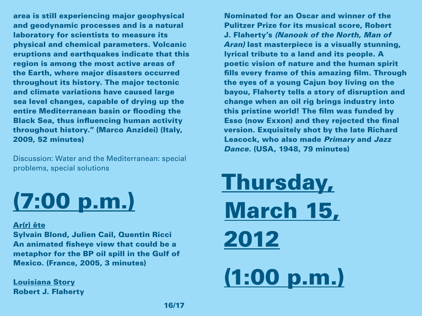area is still experiencing major geophysical and geodynamic processes and is a natural laboratory for scientists to measure its physical and chemical parameters. Volcanic eruptions and earthquakes indicate that this region is among the most active areas of the Earth, where major disasters occurred throughout its history. The major tectonic and climate variations have caused large sea level changes, capable of drying up the entire Mediterranean basin or flooding the Black Sea, thus influencing human activity throughout history." (Marco Anzidei) (Italy, 2009, 52 minutes)

Discussion: Water and the Mediterranean: special problems, special solutions

# (7:00 p.m.)

#### Ar(r) ête

Sylvain Blond, Julien Cail, Quentin Ricci An animated fisheye view that could be a metaphor for the BP oil spill in the Gulf of Mexico. (France, 2005, 3 minutes)

Louisiana Story Robert J. Flaherty

Nominated for an Oscar and winner of the Pulitzer Prize for its musical score, Robert J. Flaherty's *(Nanook of the North, Man of Aran)* last masterpiece is a visually stunning, lyrical tribute to a land and its people. A poetic vision of nature and the human spirit fills every frame of this amazing film. Through the eyes of a young Cajun boy living on the bayou, Flaherty tells a story of disruption and change when an oil rig brings industry into this pristine world! The film was funded by Esso (now Exxon) and they rejected the final version. Exquisitely shot by the late Richard Leacock, who also made *Primary* and *Jazz Dance*. (USA, 1948, 79 minutes)

Thursday, March 15, 2012 (1:00 p.m.)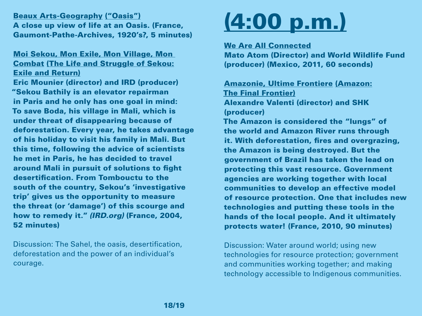Beaux Arts-Geography ("Oasis") A close up view of life at an Oasis. (France, Gaumont-Pathe-Archives, 1920's?, 5 minutes)

#### Moi Sekou, Mon Exile, Mon Village, Mon Combat (The Life and Struggle of Sekou: Exile and Return)

Eric Mounier (director) and IRD (producer) "Sekou Bathily is an elevator repairman in Paris and he only has one goal in mind: To save Boda, his village in Mali, which is under threat of disappearing because of deforestation. Every year, he takes advantage of his holiday to visit his family in Mali. But this time, following the advice of scientists he met in Paris, he has decided to travel around Mali in pursuit of solutions to fight desertification. From Tombouctu to the south of the country, Sekou's 'investigative trip' gives us the opportunity to measure the threat (or 'damage') of this scourge and how to remedy it." *(IRD.org)* (France, 2004, 52 minutes)

Discussion: The Sahel, the oasis, desertification, deforestation and the power of an individual's courage.

### (4:00 p.m.)

We Are All Connected

Mato Atom (Director) and World Wildlife Fund (producer) (Mexico, 2011, 60 seconds)

Amazonie, Ultime Frontiere (Amazon: The Final Frontier) Alexandre Valenti (director) and SHK (producer)

The Amazon is considered the "lungs" of the world and Amazon River runs through it. With deforestation, fires and overgrazing, the Amazon is being destroyed. But the government of Brazil has taken the lead on protecting this vast resource. Government agencies are working together with local communities to develop an effective model of resource protection. One that includes new technologies and putting these tools in the hands of the local people. And it ultimately protects water! (France, 2010, 90 minutes)

Discussion: Water around world; using new technologies for resource protection; government and communities working together; and making technology accessible to Indigenous communities.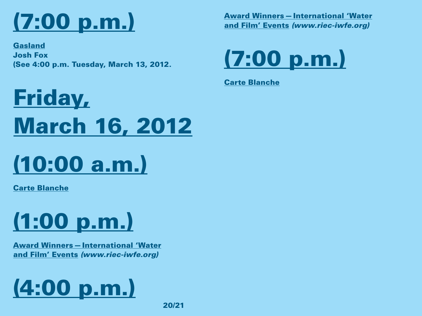# (7:00 p.m.)

Gasland Josh Fox (See 4:00 p.m. Tuesday, March 13, 2012. Award Winners—International 'Water and Film' Events *(www.riec-iwfe.org)*



Carte Blanche

# Friday, March 16, 2012

## (10:00 a.m.)

Carte Blanche



Award Winners—International 'Water and Film' Events *(www.riec-iwfe.org)*

# (4:00 p.m.)

20/21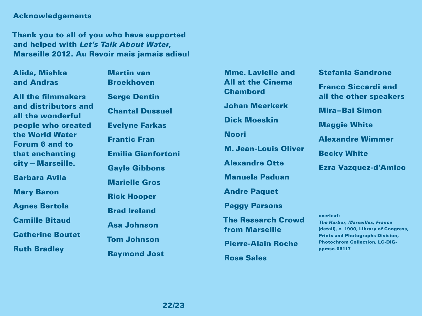#### Acknowledgements

Thank you to all of you who have supported and helped with *Let's Talk About Water*, Marseille 2012. Au Revoir mais jamais adieu!

Alida, Mishka and Andras

All the filmmakers and distributors and all the wonderful people who created the World Water Forum 6 and to that enchanting city—Marseille.

Barbara Avila

Mary Baron

Agnes Bertola

Camille Bitaud

Catherine Boutet

Ruth Bradley

Martin van Broekhoven Serge Dentin Chantal Dussuel Evelyne Farkas Frantic Fran Emilia Gianfortoni Gayle Gibbons Marielle Gros Rick Hooper Brad Ireland Asa Johnson Tom Johnson Raymond Jost

Mme. Lavielle and All at the Cinema Chambord Johan Meerkerk Dick Moeskin Noori M. Jean-Louis Oliver Alexandre Otte Manuela Paduan Andre Paquet Peggy Parsons The Research Crowd from Marseille Pierre-Alain Roche Rose Sales

#### Stefania Sandrone

Franco Siccardi and all the other speakers

Mira–Bai Simon

Maggie White

Alexandre Wimmer

Becky White

Ezra Vazquez-d'Amico

overleaf: *The Harbor, Marseilles, France* (detail), c. 1900, Library of Congress, Prints and Photographs Division, Photochrom Collection, LC-DIGppmsc-05117